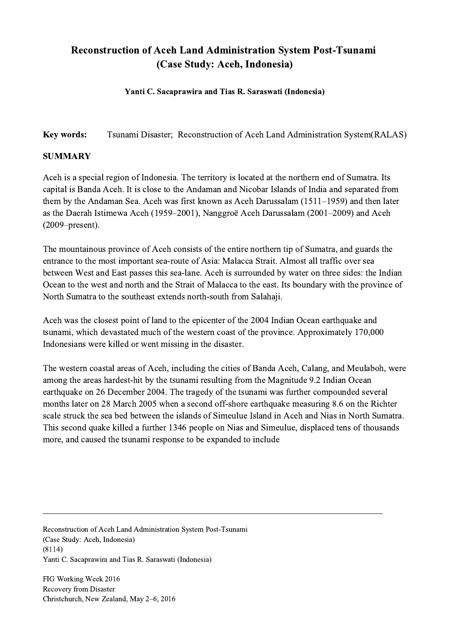## Reconstruction of Aceh Land Administration System Post-Tsunami (Case Study: Aceh, Indonesia)

## Yanti C. Sacaprawira and Tias R. Saraswati (Indonesia)

Key words: Tsunami Disaster; Reconstruction of Aceh Land Administration System(RALAS)

## SUMMARY

Aceh is a special region of Indonesia. The territory is located at the northern end of Sumatra. Its capital is Banda Aceh. It is close to the Andaman and Nicobar Islands of India and separated from them by the Andaman Sea. Aceh was first known as Aceh Darussalam (1511–1959) and then later as the Daerah Istimewa Aceh (1959–2001), Nanggroë Aceh Darussalam (2001–2009) and Aceh (2009–present).

The mountainous province of Aceh consists of the entire northern tip of Sumatra, and guards the entrance to the most important sea-route of Asia: Malacca Strait. Almost all traffic over sea between West and East passes this sea-lane. Aceh is surrounded by water on three sides: the Indian Ocean to the west and north and the Strait of Malacca to the east. Its boundary with the province of North Sumatra to the southeast extends north-south from Salahaji.

Aceh was the closest point of land to the epicenter of the 2004 Indian Ocean earthquake and tsunami, which devastated much of the western coast of the province. Approximately 170,000 Indonesians were killed or went missing in the disaster.

The western coastal areas of Aceh, including the cities of Banda Aceh, Calang, and Meulaboh, were among the areas hardest-hit by the tsunami resulting from the Magnitude 9.2 Indian Ocean earthquake on 26 December 2004. The tragedy of the tsunami was further compounded several months later on 28 March 2005 when a second off-shore earthquake measuring 8.6 on the Richter scale struck the sea bed between the islands of Simeulue Island in Aceh and Nias in North Sumatra. This second quake killed a further 1346 people on Nias and Simeulue, displaced tens of thousands more, and caused the tsunami response to be expanded to include

 $\mathcal{L}_\mathcal{L} = \{ \mathcal{L}_\mathcal{L} = \{ \mathcal{L}_\mathcal{L} = \{ \mathcal{L}_\mathcal{L} = \{ \mathcal{L}_\mathcal{L} = \{ \mathcal{L}_\mathcal{L} = \{ \mathcal{L}_\mathcal{L} = \{ \mathcal{L}_\mathcal{L} = \{ \mathcal{L}_\mathcal{L} = \{ \mathcal{L}_\mathcal{L} = \{ \mathcal{L}_\mathcal{L} = \{ \mathcal{L}_\mathcal{L} = \{ \mathcal{L}_\mathcal{L} = \{ \mathcal{L}_\mathcal{L} = \{ \mathcal{L}_\mathcal{$ 

Reconstruction of Aceh Land Administration System Post-Tsunami (Case Study: Aceh, Indonesia) (8114) Yanti C. Sacaprawira and Tias R. Saraswati (Indonesia)

FIG Working Week 2016 Recovery from Disaster Christchurch, New Zealand, May 2–6, 2016